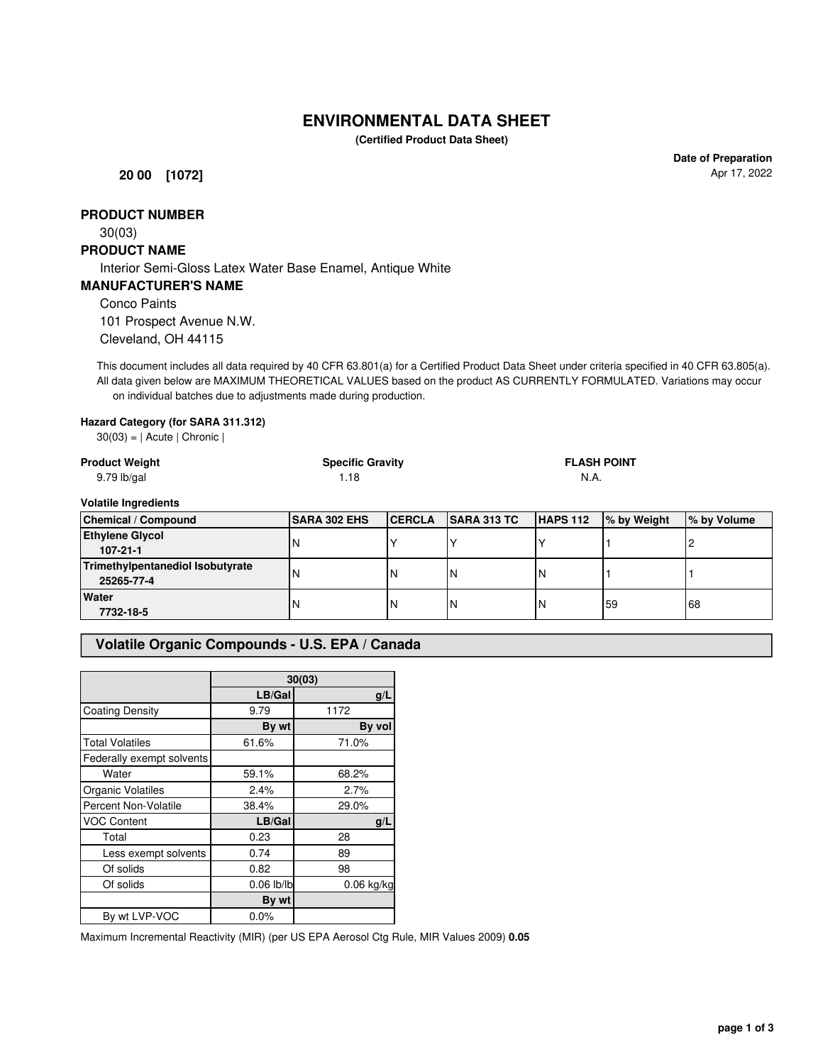# **ENVIRONMENTAL DATA SHEET**

**(Certified Product Data Sheet)**

**20 00 [1072]**

**Date of Preparation** Apr 17, 2022

# **PRODUCT NUMBER**

30(03)

#### **PRODUCT NAME**

Interior Semi-Gloss Latex Water Base Enamel, Antique White

#### **MANUFACTURER'S NAME**

Conco Paints

101 Prospect Avenue N.W. Cleveland, OH 44115

This document includes all data required by 40 CFR 63.801(a) for a Certified Product Data Sheet under criteria specified in 40 CFR 63.805(a). All data given below are MAXIMUM THEORETICAL VALUES based on the product AS CURRENTLY FORMULATED. Variations may occur on individual batches due to adjustments made during production.

#### **Hazard Category (for SARA 311.312)**

 $30(03) = |$  Acute | Chronic |

| <b>Product Weight</b><br>$9.79$ lb/gal         | <b>Specific Gravity</b><br>1.18 |               |                    | <b>FLASH POINT</b><br>N.A. |             |             |
|------------------------------------------------|---------------------------------|---------------|--------------------|----------------------------|-------------|-------------|
| <b>Volatile Ingredients</b>                    |                                 |               |                    |                            |             |             |
| <b>Chemical / Compound</b>                     | <b>SARA 302 EHS</b>             | <b>CERCLA</b> | <b>SARA 313 TC</b> | HAPS 112                   | % by Weight | % by Volume |
| <b>Ethylene Glycol</b><br>$107 - 21 - 1$       |                                 |               |                    |                            |             |             |
| Trimethylpentanediol Isobutyrate<br>25265-77-4 |                                 | 'N            | N                  | N                          |             |             |
| Water<br>7732-18-5                             | N                               | N             | N                  | N                          | 59          | 68          |

# **Volatile Organic Compounds - U.S. EPA / Canada**

|                             | 30(03)       |              |  |
|-----------------------------|--------------|--------------|--|
|                             | LB/Gal       | g/L          |  |
| <b>Coating Density</b>      | 9.79         | 1172         |  |
|                             | By wt        | By vol       |  |
| <b>Total Volatiles</b>      | 61.6%        | 71.0%        |  |
| Federally exempt solvents   |              |              |  |
| Water                       | 59.1%        | 68.2%        |  |
| Organic Volatiles           | 2.4%         | 2.7%         |  |
| <b>Percent Non-Volatile</b> | 38.4%        | 29.0%        |  |
| <b>VOC Content</b>          | LB/Gal       | q/L          |  |
| Total                       | 0.23         | 28           |  |
| Less exempt solvents        | 0.74         | 89           |  |
| Of solids                   | 0.82         | 98           |  |
| Of solids                   | $0.06$ lb/lb | $0.06$ kg/kg |  |
|                             | By wt        |              |  |
| By wt LVP-VOC               | 0.0%         |              |  |

Maximum Incremental Reactivity (MIR) (per US EPA Aerosol Ctg Rule, MIR Values 2009) **0.05**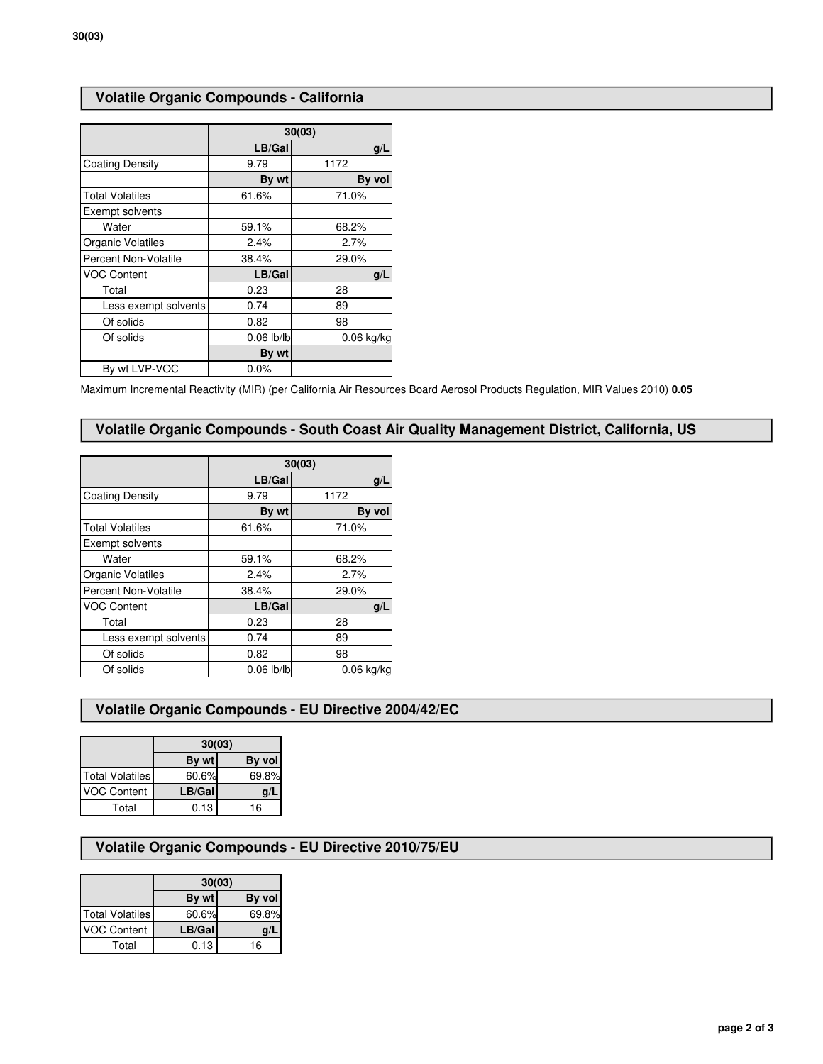# **Volatile Organic Compounds - California**

|                             | 30(03)       |              |  |
|-----------------------------|--------------|--------------|--|
|                             | LB/Gal       | q/L          |  |
| <b>Coating Density</b>      | 9.79         | 1172         |  |
|                             | By wt        | By vol       |  |
| <b>Total Volatiles</b>      | 61.6%        | 71.0%        |  |
| Exempt solvents             |              |              |  |
| Water                       | 59.1%        | 68.2%        |  |
| Organic Volatiles           | 2.4%         | 2.7%         |  |
| <b>Percent Non-Volatile</b> | 38.4%        | 29.0%        |  |
| <b>VOC Content</b>          | LB/Gal       | g/L          |  |
| Total                       | 0.23         | 28           |  |
| Less exempt solvents        | 0.74         | 89           |  |
| Of solids                   | 0.82         | 98           |  |
| Of solids                   | $0.06$ lb/lb | $0.06$ kg/kg |  |
|                             | By wt        |              |  |
| By wt LVP-VOC               | 0.0%         |              |  |

Maximum Incremental Reactivity (MIR) (per California Air Resources Board Aerosol Products Regulation, MIR Values 2010) **0.05**

### **Volatile Organic Compounds - South Coast Air Quality Management District, California, US**

|                        | 30(03)       |              |  |
|------------------------|--------------|--------------|--|
|                        | LB/Gal       | g/L          |  |
| Coating Density        | 9.79         | 1172         |  |
|                        | By wt        | By vol       |  |
| <b>Total Volatiles</b> | 61.6%        | 71.0%        |  |
| Exempt solvents        |              |              |  |
| Water                  | 59.1%        | 68.2%        |  |
| Organic Volatiles      | 2.4%         | 2.7%         |  |
| Percent Non-Volatile   | 38.4%        | 29.0%        |  |
| <b>VOC Content</b>     | LB/Gal       | q/L          |  |
| Total                  | 0.23         | 28           |  |
| Less exempt solvents   | 0.74         | 89           |  |
| Of solids              | 0.82         | 98           |  |
| Of solids              | $0.06$ lb/lb | $0.06$ kg/kg |  |

# **Volatile Organic Compounds - EU Directive 2004/42/EC**

|                        | 30(03) |        |  |
|------------------------|--------|--------|--|
|                        | By wt  | By vol |  |
| <b>Total Volatiles</b> | 60.6%  | 69.8%  |  |
| <b>VOC Content</b>     | LB/Gal | g/l    |  |
| Total                  | 0.13   | 16     |  |

# **Volatile Organic Compounds - EU Directive 2010/75/EU**

|                        | 30(03) |        |  |
|------------------------|--------|--------|--|
|                        | By wt  | By vol |  |
| <b>Total Volatiles</b> | 60.6%  | 69.8%  |  |
| <b>VOC Content</b>     | LB/Gal | g/l    |  |
| Total                  | 0.13   | 16     |  |